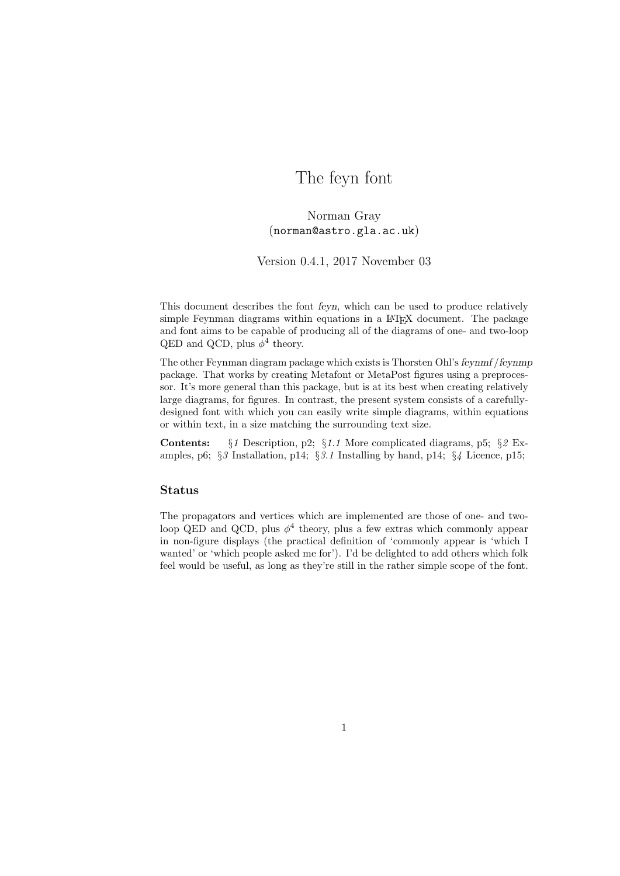# The feyn font

Norman Gray (norman@astro.gla.ac.uk)

Version 0.4.1, 2017 November 03

This document describes the font feyn, which can be used to produce relatively simple Feynman diagrams within equations in a LAT<sub>EX</sub> document. The package and font aims to be capable of producing all of the diagrams of one- and two-loop QED and QCD, plus  $\phi^4$  theory.

The other Feynman diagram package which exists is Thorsten Ohl's feynmf /feynmp package. That works by creating Metafont or MetaPost figures using a preprocessor. It's more general than this package, but is at its best when creating relatively large diagrams, for figures. In contrast, the present system consists of a carefullydesigned font with which you can easily write simple diagrams, within equations or within text, in a size matching the surrounding text size.

Contents: §1 Description, p2; §1.1 More complicated diagrams, p5; §2 Examples, p6; §3 Installation, p14; §3.1 Installing by hand, p14; §4 Licence, p15;

### Status

The propagators and vertices which are implemented are those of one- and twoloop QED and QCD, plus  $\phi^4$  theory, plus a few extras which commonly appear in non-figure displays (the practical definition of 'commonly appear is 'which I wanted' or 'which people asked me for'). I'd be delighted to add others which folk feel would be useful, as long as they're still in the rather simple scope of the font.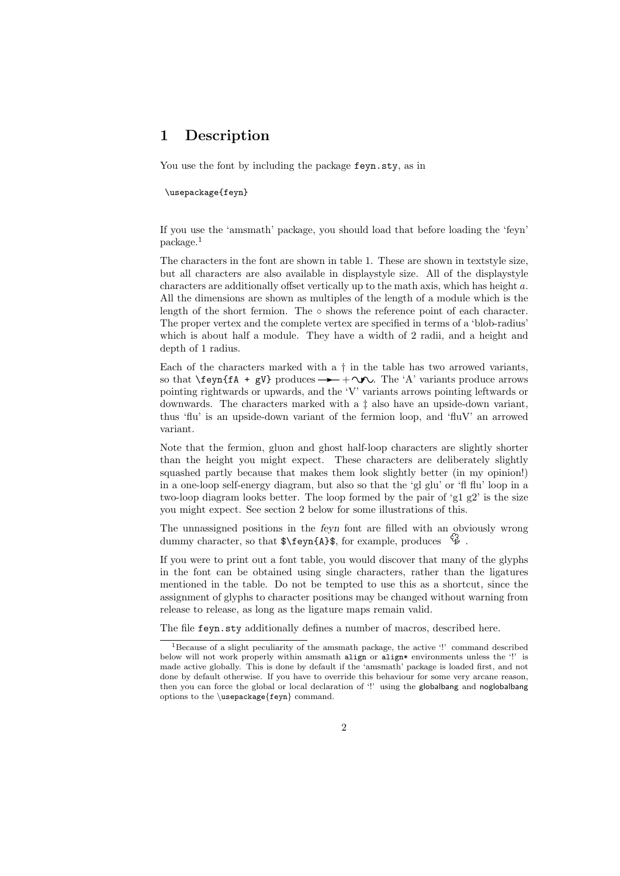## 1 Description

You use the font by including the package  $feyn.sty$ , as in

#### \usepackage{feyn}

If you use the 'amsmath' package, you should load that before loading the 'feyn' package.<sup>1</sup>

The characters in the font are shown in table 1. These are shown in textstyle size, but all characters are also available in displaystyle size. All of the displaystyle characters are additionally offset vertically up to the math axis, which has height a. All the dimensions are shown as multiples of the length of a module which is the length of the short fermion. The  $\circ$  shows the reference point of each character. The proper vertex and the complete vertex are specified in terms of a 'blob-radius' which is about half a module. They have a width of 2 radii, and a height and depth of 1 radius.

Each of the characters marked with a  $\dagger$  in the table has two arrowed variants, so that  $\text{SymffA + gV}$  produces  $\rightarrow +\infty$ . The 'A' variants produce arrows pointing rightwards or upwards, and the 'V' variants arrows pointing leftwards or downwards. The characters marked with a ‡ also have an upside-down variant, thus 'flu' is an upside-down variant of the fermion loop, and 'fluV' an arrowed variant.

Note that the fermion, gluon and ghost half-loop characters are slightly shorter than the height you might expect. These characters are deliberately slightly squashed partly because that makes them look slightly better (in my opinion!) in a one-loop self-energy diagram, but also so that the 'gl glu' or 'fl flu' loop in a two-loop diagram looks better. The loop formed by the pair of 'g1 g2' is the size you might expect. See section 2 below for some illustrations of this.

The unnassigned positions in the feyn font are filled with an obviously wrong dummy character, so that  $\f{A}\$ , for example, produces  $\mathcal{G}$ .

If you were to print out a font table, you would discover that many of the glyphs in the font can be obtained using single characters, rather than the ligatures mentioned in the table. Do not be tempted to use this as a shortcut, since the assignment of glyphs to character positions may be changed without warning from release to release, as long as the ligature maps remain valid.

The file feyn.sty additionally defines a number of macros, described here.

<sup>&</sup>lt;sup>1</sup>Because of a slight peculiarity of the amsmath package, the active '!' command described below will not work properly within amsmath align or align\* environments unless the '!' is made active globally. This is done by default if the 'amsmath' package is loaded first, and not done by default otherwise. If you have to override this behaviour for some very arcane reason, then you can force the global or local declaration of '!' using the globalbang and noglobalbang options to the \usepackage{feyn} command.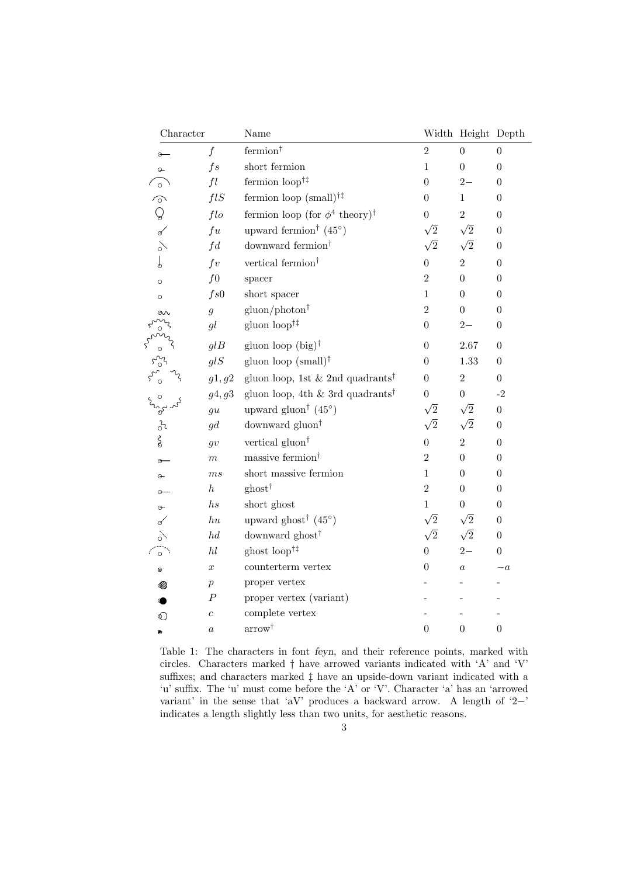| Character         |                  | Name                                                  |                  | Width Height Depth |                  |
|-------------------|------------------|-------------------------------------------------------|------------------|--------------------|------------------|
|                   | $\boldsymbol{f}$ | $\mathrm{fermion}^\dagger$                            | $\overline{2}$   | $\boldsymbol{0}$   | $\boldsymbol{0}$ |
| $\circ$           | fs               | short fermion                                         | $\mathbf{1}$     | $\boldsymbol{0}$   | $\boldsymbol{0}$ |
| $\circ$           | fl               | fermion $loop^{\dagger\ddagger}$                      | $\theta$         | $2 -$              | $\overline{0}$   |
| $\widehat{\circ}$ | fIS              | fermion loop (small) <sup><math>\dagger</math>‡</sup> | $\theta$         | $\mathbf{1}$       | $\boldsymbol{0}$ |
| $\mathbb Q$       | flo              | fermion loop (for $\phi^4$ theory) <sup>†</sup>       | $\overline{0}$   | $\overline{2}$     | $\boldsymbol{0}$ |
| $\mathscr{A}$     | $f_{u}$          | upward fermion <sup>†</sup> $(45^{\circ})$            | $\sqrt{2}$       | $\sqrt{2}$         | $\theta$         |
| $\delta$          | fd               | downward fermion <sup>†</sup>                         | $\sqrt{2}$       | $\sqrt{2}$         | $\theta$         |
| $\downarrow$      | $f\mathit{v}$    | vertical fermion $^\dagger$                           | $\theta$         | $\overline{2}$     | $\theta$         |
| $\circ$           | $f_{0}$          | spacer                                                | $\overline{2}$   | $\boldsymbol{0}$   | $\overline{0}$   |
| $\circ$           | fs0              | short spacer                                          | $\mathbf{1}$     | $\boldsymbol{0}$   | $\boldsymbol{0}$ |
|                   | $\mathfrak{g}$   | $gluon/photon^{\dagger}$                              | $\overline{2}$   | $\overline{0}$     | $\boldsymbol{0}$ |
|                   | gl               | gluon $loop^{\dagger\ddagger}$                        | $\theta$         | $2-$               | $\overline{0}$   |
|                   | glB              | gluon loop $(big)$ <sup>†</sup>                       | 0                | 2.67               | $\theta$         |
|                   | glS              | gluon loop $(small)$ <sup>†</sup>                     | 0                | $1.33\,$           | $\theta$         |
|                   | g1, g2           | gluon loop, 1st & 2nd quadrants <sup>†</sup>          | $\overline{0}$   | $\overline{2}$     | $\overline{0}$   |
|                   | g4, g3           | gluon loop, 4th & 3rd quadrants <sup>†</sup>          | $\overline{0}$   | $\overline{0}$     | $-2$             |
|                   | gu               | upward gluon <sup>†</sup> $(45^{\circ})$              | $\sqrt{2}$       | $\sqrt{2}$         | $\boldsymbol{0}$ |
| $rac{3}{6}$       | gd               | downward gluon <sup>†</sup>                           | $\sqrt{2}$       | $\sqrt{2}$         | $\boldsymbol{0}$ |
|                   | q v              | vertical gluon <sup>†</sup>                           | $\overline{0}$   | $\overline{2}$     | $\boldsymbol{0}$ |
| ⊕                 | $\boldsymbol{m}$ | massive fermion <sup>†</sup>                          | $\overline{2}$   | $\overline{0}$     | $\theta$         |
| ⊕                 | ms               | short massive fermion                                 | $\mathbf{1}$     | $\boldsymbol{0}$   | $\boldsymbol{0}$ |
| $O-$              | $\boldsymbol{h}$ | $\text{ghost}^{\dagger}$                              | $\overline{2}$   | $\theta$           | $\overline{0}$   |
| $\odot$           | hs               | short ghost                                           | $\mathbf{1}$     | 0                  | $\boldsymbol{0}$ |
| ∝                 | $h$ u            | upward ghost <sup>†</sup> $(45^{\circ})$              | $\sqrt{2}$       | $\sqrt{2}$         | $\boldsymbol{0}$ |
|                   | hd               | downward ghost <sup>†</sup>                           | $\sqrt{2}$       | $\sqrt{2}$         | $\boldsymbol{0}$ |
| $\circ$           | hl               | ghost $loop^{\dagger\ddagger}$                        | $\overline{0}$   | $2 -$              | $\boldsymbol{0}$ |
| ø                 | $\boldsymbol{x}$ | $\mathop{\textup{counterterm}}$ vertex                | 0                | $\boldsymbol{a}$   | $-a$             |
| ∞                 | $\boldsymbol{p}$ | proper vertex                                         |                  |                    |                  |
|                   | $\boldsymbol{P}$ | proper vertex (variant)                               |                  |                    |                  |
| $\circledcirc$    | $\overline{c}$   | complete vertex                                       |                  |                    |                  |
| $\bullet$         | $\boldsymbol{a}$ | $\arrow^{\dagger}$                                    | $\boldsymbol{0}$ | $\boldsymbol{0}$   | $\boldsymbol{0}$ |

Table 1: The characters in font feyn, and their reference points, marked with circles. Characters marked † have arrowed variants indicated with 'A' and 'V' suffixes; and characters marked ‡ have an upside-down variant indicated with a 'u' suffix. The 'u' must come before the 'A' or 'V'. Character 'a' has an 'arrowed variant' in the sense that 'aV' produces a backward arrow. A length of '2−' indicates a length slightly less than two units, for aesthetic reasons.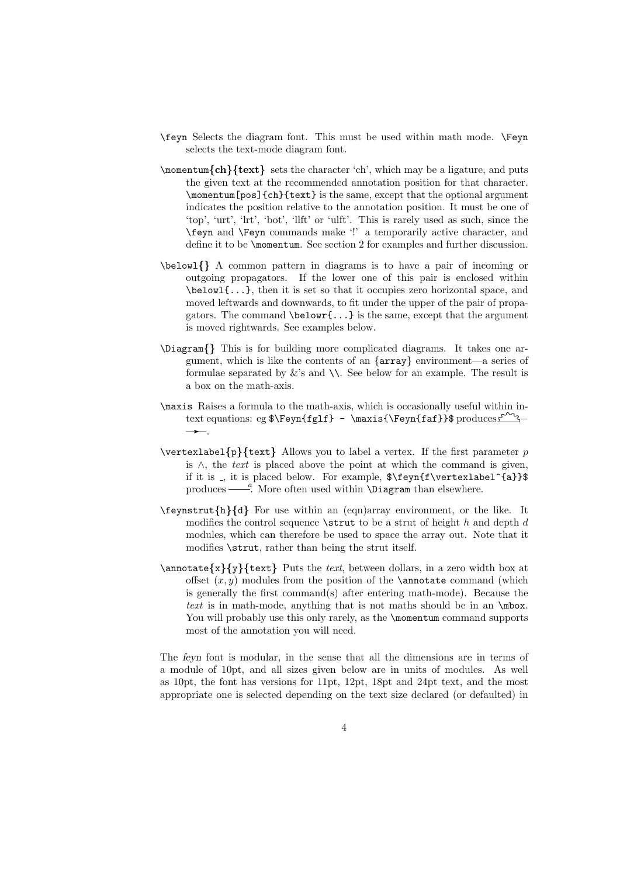- \feyn Selects the diagram font. This must be used within math mode. \Feyn selects the text-mode diagram font.
- \momentum{ch}{text} sets the character 'ch', which may be a ligature, and puts the given text at the recommended annotation position for that character. \momentum[pos]{ch}{text} is the same, except that the optional argument indicates the position relative to the annotation position. It must be one of 'top', 'urt', 'lrt', 'bot', 'llft' or 'ulft'. This is rarely used as such, since the \feyn and \Feyn commands make '!' a temporarily active character, and define it to be \momentum. See section 2 for examples and further discussion.
- \belowl{} A common pattern in diagrams is to have a pair of incoming or outgoing propagators. If the lower one of this pair is enclosed within \belowl{...}, then it is set so that it occupies zero horizontal space, and moved leftwards and downwards, to fit under the upper of the pair of propagators. The command  $\begin{bmatrix} \cdot \\ \cdot \cdot \cdot \cdot \cdot \\ \cdot \cdot \cdot \cdot \cdot \end{bmatrix}$  is the same, except that the argument is moved rightwards. See examples below.
- \Diagram{} This is for building more complicated diagrams. It takes one argument, which is like the contents of an  $\{array\}$  environment—a series of formulae separated by  $\&$ 's and  $\&$ . See below for an example. The result is a box on the math-axis.
- \maxis Raises a formula to the math-axis, which is occasionally useful within intext equations: eg \$\Feyn{fglf} - \maxis{\Feyn{faf}}\$ produces  $f^{2} \rightarrow$ .
- $\vert \text{p}\{\text{text}}\}$  Allows you to label a vertex. If the first parameter p is ∧, the text is placed above the point at which the command is given, if it is \_, it is placed below. For example,  $\{\equiv\}$  (a}}\$ produces  $\frac{a}{b}$ . More often used within **\Diagram** than elsewhere.
- $\begin{bmatrix} \n\text{th}(h) \neq \n\end{bmatrix}$  For use within an (eqn)array environment, or the like. It modifies the control sequence  $\text{strut}$  to be a strut of height h and depth d modules, which can therefore be used to space the array out. Note that it modifies \strut, rather than being the strut itself.
- $\lambda$  \annotate{x}{y}{text} Puts the text, between dollars, in a zero width box at offset  $(x, y)$  modules from the position of the **\annotate** command (which is generally the first command(s) after entering math-mode). Because the text is in math-mode, anything that is not maths should be in an \mbox. You will probably use this only rarely, as the **\momentum** command supports most of the annotation you will need.

The feyn font is modular, in the sense that all the dimensions are in terms of a module of 10pt, and all sizes given below are in units of modules. As well as 10pt, the font has versions for 11pt, 12pt, 18pt and 24pt text, and the most appropriate one is selected depending on the text size declared (or defaulted) in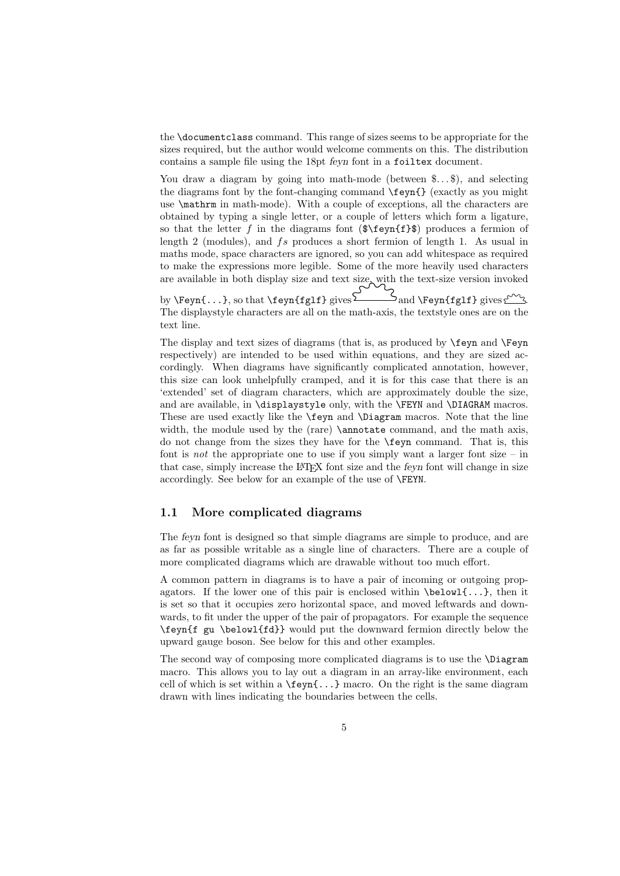the \documentclass command. This range of sizes seems to be appropriate for the sizes required, but the author would welcome comments on this. The distribution contains a sample file using the 18pt feyn font in a foiltex document.

You draw a diagram by going into math-mode (between  $\ldots, \ldots$ ), and selecting the diagrams font by the font-changing command \feyn{} (exactly as you might use \mathrm in math-mode). With a couple of exceptions, all the characters are obtained by typing a single letter, or a couple of letters which form a ligature, so that the letter f in the diagrams font  $(\frac{\hat{\mathbf{x}}}{\hat{\mathbf{f}}})$  produces a fermion of length 2 (modules), and fs produces a short fermion of length 1. As usual in maths mode, space characters are ignored, so you can add whitespace as required to make the expressions more legible. Some of the more heavily used characters are available in both display size and text size, with the text-size version invoked by  $\Feyn{...}$ , so that  $\feyn{fgl}$  gives  $\sum_{\text{and}} \Feyn{fgl}$  gives  $\frac{1}{2}$ .

The displaystyle characters are all on the math-axis, the textstyle ones are on the text line.

The display and text sizes of diagrams (that is, as produced by \feyn and \Feyn respectively) are intended to be used within equations, and they are sized accordingly. When diagrams have significantly complicated annotation, however, this size can look unhelpfully cramped, and it is for this case that there is an 'extended' set of diagram characters, which are approximately double the size, and are available, in \displaystyle only, with the \FEYN and \DIAGRAM macros. These are used exactly like the \feyn and \Diagram macros. Note that the line width, the module used by the (rare) **\annotate** command, and the math axis, do not change from the sizes they have for the \feyn command. That is, this font is *not* the appropriate one to use if you simply want a larger font size – in that case, simply increase the LATEX font size and the feyn font will change in size accordingly. See below for an example of the use of \FEYN.

#### 1.1 More complicated diagrams

The feyn font is designed so that simple diagrams are simple to produce, and are as far as possible writable as a single line of characters. There are a couple of more complicated diagrams which are drawable without too much effort.

A common pattern in diagrams is to have a pair of incoming or outgoing propagators. If the lower one of this pair is enclosed within  $\boldsymbol{\delta}$ ...}, then it is set so that it occupies zero horizontal space, and moved leftwards and downwards, to fit under the upper of the pair of propagators. For example the sequence \feyn{f gu \belowl{fd}} would put the downward fermion directly below the upward gauge boson. See below for this and other examples.

The second way of composing more complicated diagrams is to use the \Diagram macro. This allows you to lay out a diagram in an array-like environment, each cell of which is set within a \feyn{...} macro. On the right is the same diagram drawn with lines indicating the boundaries between the cells.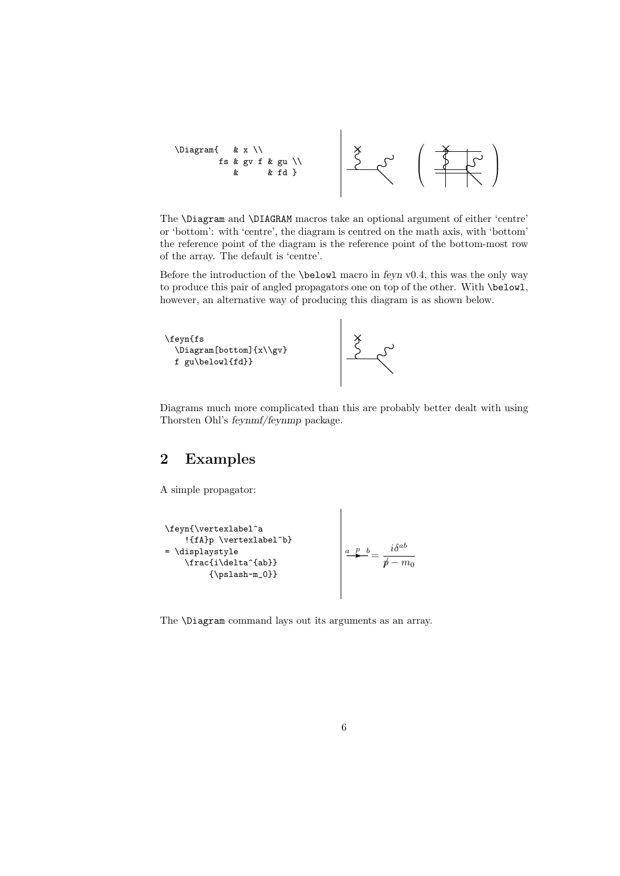

The \Diagram and \DIAGRAM macros take an optional argument of either 'centre' or 'bottom': with 'centre', the diagram is centred on the math axis, with 'bottom' the reference point of the diagram is the reference point of the bottom-most row of the array. The default is 'centre'.

Before the introduction of the **\belowl** macro in feyn v0.4, this was the only way to produce this pair of angled propagators one on top of the other. With \belowl, however, an alternative way of producing this diagram is as shown below.



Diagrams much more complicated than this are probably better dealt with using Thorsten Ohl's feynmf/feynmp package.

 $\overline{\phantom{a}}$ 

 $\overline{\phantom{a}}$ 

### 2 Examples

A simple propagator:

\feyn{\vertexlabel^a !{fA}p \vertexlabel^b} = \displaystyle \frac{i\delta^{ab}} {\pslash-m\_0}} <sup>a</sup>F<sup>p</sup> <sup>b</sup><sup>=</sup> iδab p/ − m<sup>0</sup>

The \Diagram command lays out its arguments as an array.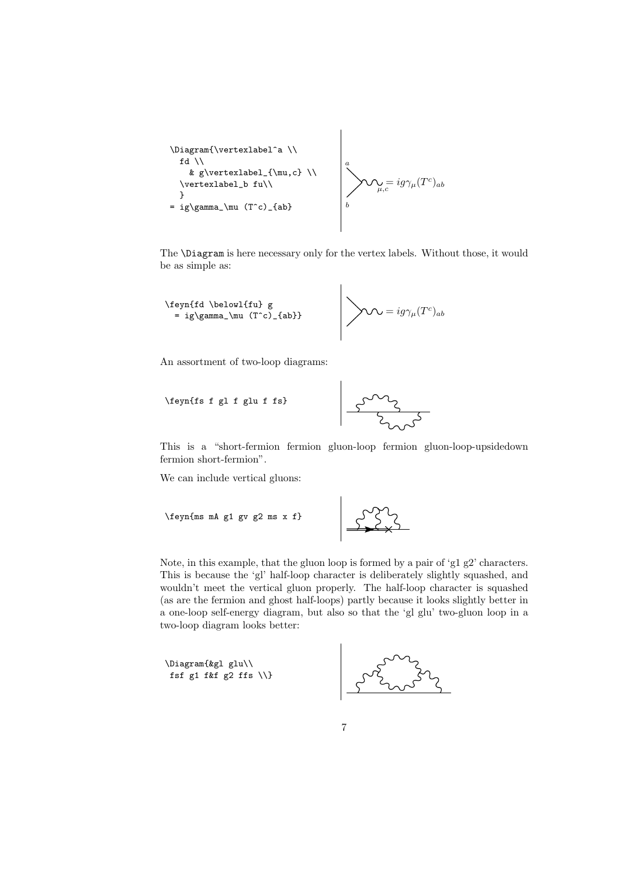\Diagram{\vertexlabel^a \\ fd \\ a & g\vertexlabel\_{\mu,c} \\ dg c = igγµ(T )ab \vertexlabel\_b fu\\ µ,c e } b = ig\gamma\_\mu (T^c)\_{ab}

The \Diagram is here necessary only for the vertex labels. Without those, it would be as simple as:

 $\overline{\phantom{a}}$ 

$$
\setminus \text{feynffd } \begin{array}{c} \text{feynffd } \begin{pmatrix} \text{fubd } g \\ \text{fubd } g \end{pmatrix} \\ = ig \setminus \text{gamma\_}\mu \text{ (Tc)_4ab}} \end{array}
$$

An assortment of two-loop diagrams:

$$
\left\langle \text{1} \right\rangle
$$
 
$$
\left\langle \text{1} \right\rangle
$$
 
$$
\left\langle \text{1} \right\rangle
$$
 
$$
\left\langle \text{1} \right\rangle
$$
 
$$
\left\langle \text{1} \right\rangle
$$
 
$$
\left\langle \text{1} \right\rangle
$$

This is a "short-fermion fermion gluon-loop fermion gluon-loop-upsidedown fermion short-fermion".

We can include vertical gluons:

$$
\left\{\text{feyn}\{\text{ms mA g1 gy g2 ms x f}\}\right\}
$$

Note, in this example, that the gluon loop is formed by a pair of 'g1 g2' characters. This is because the 'gl' half-loop character is deliberately slightly squashed, and wouldn't meet the vertical gluon properly. The half-loop character is squashed (as are the fermion and ghost half-loops) partly because it looks slightly better in a one-loop self-energy diagram, but also so that the 'gl glu' two-gluon loop in a two-loop diagram looks better:

```
\Diagram{&gl glu\\
fsf g1 f&f g2 ffs \setminus}
```
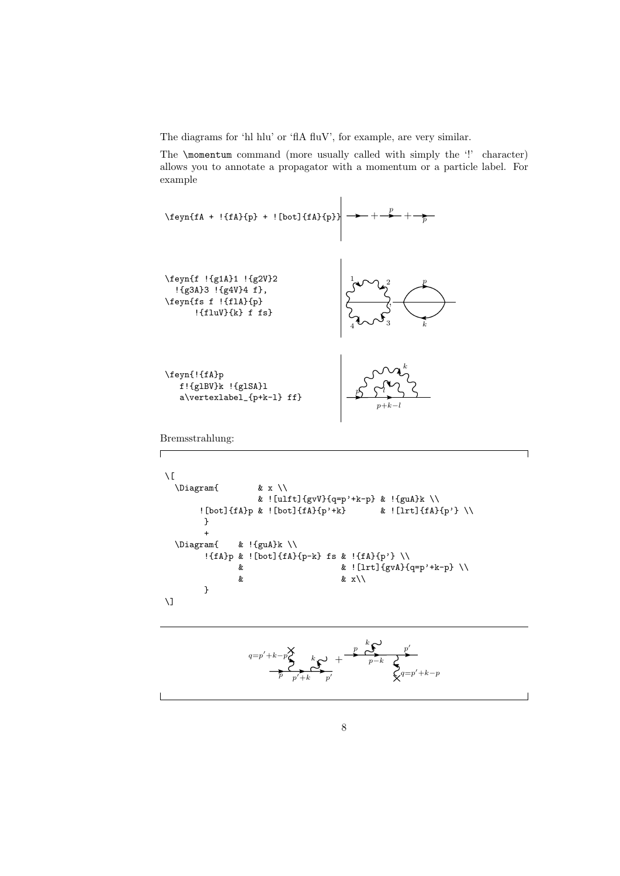The diagrams for 'hl hlu' or 'flA fluV', for example, are very similar.

The \momentum command (more usually called with simply the '!' character) allows you to annotate a propagator with a momentum or a particle label. For example



Bremsstrahlung:

 $\Gamma$ 

```
\sqrt{ }\Diagram{ & x \\
                     & ! [ulft] \{gvV\}\{q=p' + k-p\} & !\{guA\}k \\
        ! [bot]{fA}p & ![bot]{fA}{p'+k} & ! [lrt]{fA}{p'} \\
        }
  +<br>\Diagram{
                & !{g u A}k \ \n\big\}!{fA}p & ![bot]{fA}{p-k} fs & !{fA}{p'} \\
                & & ![lrt]{gvA}{q=p'+k-p} \\
                                        & x \backslash \backslash}
\overline{a}
```

$$
\overbrace{\qquad \qquad }^{q=p'+k-p\hbox{\scriptsize$\sum$}\hskip -2pt\hskip -2pt \sum\limits_{p'+k}^{k}\hskip -2pt p' \hskip -2pt\hskip -2pt\hskip -2pt}+\frac{p\hskip -2pt\hskip -2pt\hskip -2pt\hskip -2pt\hskip -2pt\hskip -2pt p'\hskip -2pt\hskip -2pt} {p'\hskip -2pt\hskip -2pt\hskip -2pt} \hskip -2pt} \sum\limits_{p-k} \hskip -2pt \sum\limits_{p'+k-p}^{p'}
$$

٦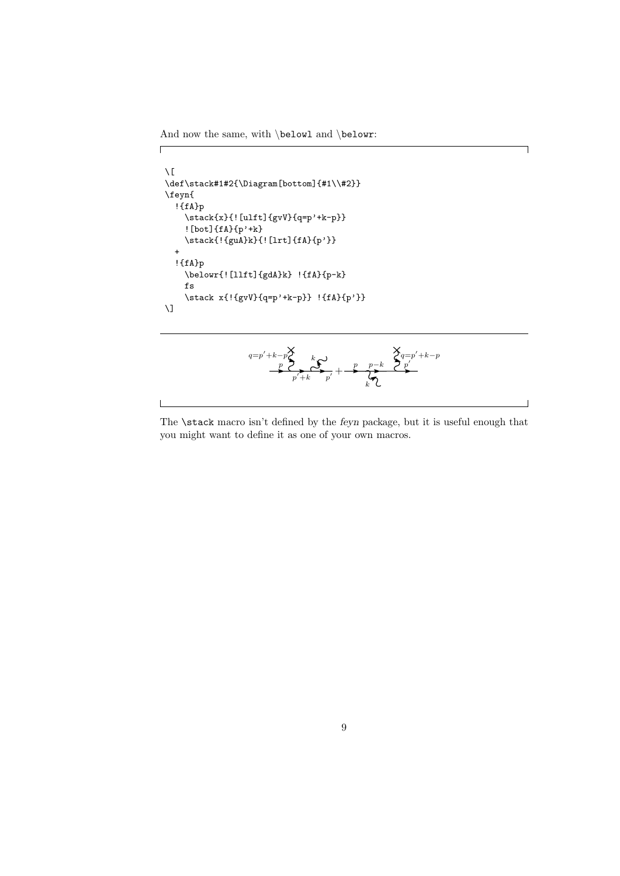And now the same, with  $\belowl$  and  $\belowr$ :

 $\sqrt{2}$ 

 $\overline{\phantom{a}}$ 

```
\sqrt{2}\def\stack#1#2{\Diagram[bottom]{#1\\#2}}
\feyn{
  !{fA}p
    \label{eq:stack{x}{{\rm [ulft]}{gvv}^{q=p' + k-p}}![bot]{fA}{p'+k}
    \stack{!{guA}k}{![lrt]{fA}{p'}}
  +
  !{fA}p
    \belowr{![llft]{gdA}k} !{fA}{p-k}
    fs
    \stack x{!{gvV}{q=p'+k-p}} !{fA}{p'}}
\setminus]
```

$$
\overbrace{\mathbb{P}^{p'+k-p\mathcal{S}}_{p'+k}^p, \mathbb{P}^{p'+k-p\mathcal{S}}_{p'+k}^p, \mathbb{P}^{p-k}_{k'} \mathbb{P}^{p'+k-p\mathcal{S}^{p'+k-p\mathcal{S}^{p'+k-p}}_{p'+k'-p}}}
$$

┑

 $\overline{\phantom{0}}$ 

The **\stack** macro isn't defined by the *feyn* package, but it is useful enough that you might want to define it as one of your own macros.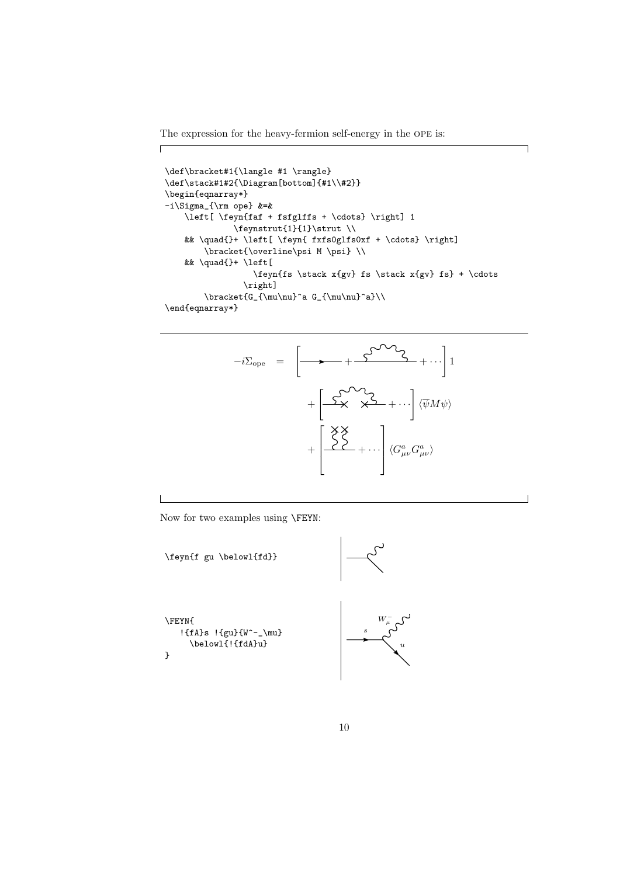The expression for the heavy-fermion self-energy in the ope is:

 $\sqrt{2}$ 

```
\def\bracket#1{\langle #1 \rangle}
\def\stack#1#2{\Diagram[bottom]{#1\\#2}}
\begin{eqnarray*}
-i\Sigma_{\rm ope} &=&
    \left[ \feyn{faf + fsfglffs + \cdots} \right] 1
              \feynstrut{1}{1}\strut \\
    && \quad{}+ \left[ \feyn{ fxfs0glfs0xf + \cdots} \right]
        \bracket{\overline\psi M \psi} \\
    && \quad{}+ \left[
                   \feyn{fs \stack x{gv} fs \stack x{gv} fs} + \cdots
                 \right]
        \label{thm:main} $$\bracket_{G_{\mu\nu}^a G_{\mu\nu}^a}\\\\end{eqnarray*}
```
٦

 $\overline{\phantom{0}}$ 



Now for two examples using \FEYN:

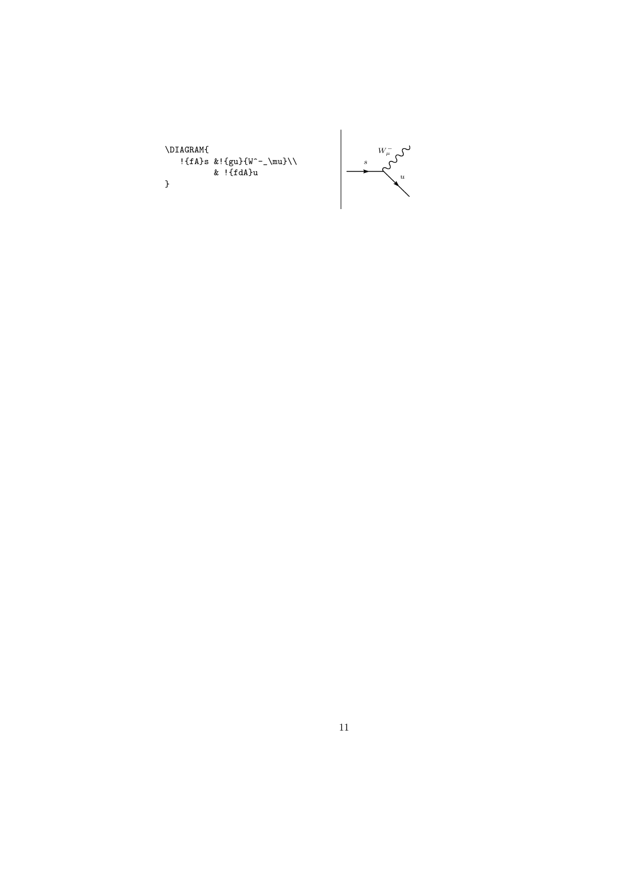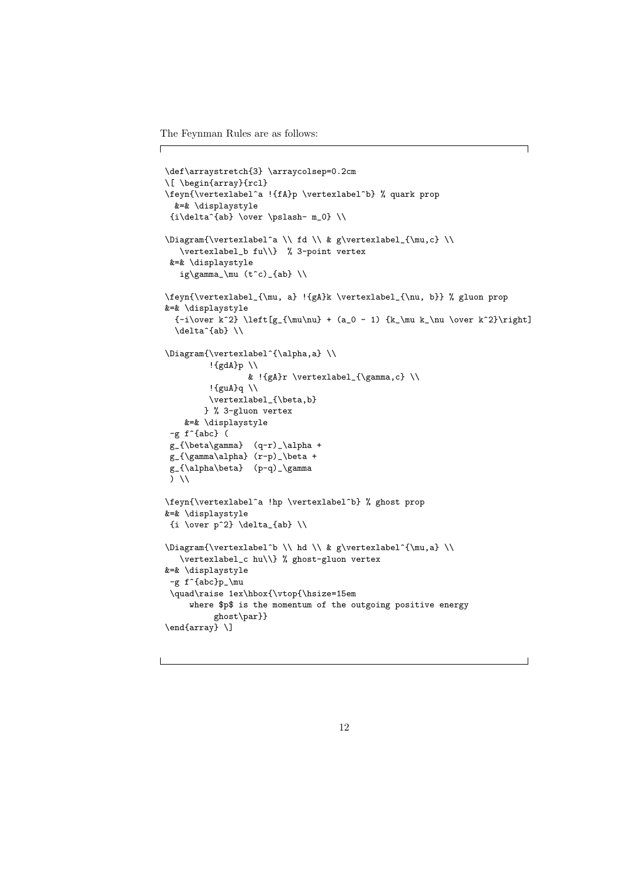The Feynman Rules are as follows:

 $\sqrt{2}$ 

```
\def\arraystretch{3} \arraycolsep=0.2cm
\[ \begin{array}{rcl}
\feyn{\vertexlabel^a !{fA}p \vertexlabel^b} % quark prop
  &=& \displaystyle
 \{i\delta^{ab}\ \over \phi - m_0\ \ \ \ \ \\Diagram{\vertexlabel^a \\ fd \\ & g\vertexlabel_{\mu,c} \\
   \vertexlabel_b fu\\} % 3-point vertex
 &=& \displaystyle
   ig\gamma_\mu (t<sup>o</sup>c)_{ab} \\
\feyn{\vertexlabel_{\mu, a} !{gA}k \vertexlabel_{\nu, b}} % gluon prop
&=& \displaystyle
  \{-i\over k^2} \left[g_{\mu\nu} + (a_0 - 1) \{k_\mu k_\nu \over k^2}\right]\delta^{\delta}\Diagram{\vertexlabel^{\alpha,a} \\
         !{gdA}p \\
                 & !{gA}r \vertexlabel_{\gamma,c} \\
         !{guA}q \\
         \vertexlabel_{\beta,b}
        } % 3-gluon vertex
    &=& \displaystyle
 -g f^{\uparrow}{abc} (
 g_{\beta\gamma} (q-r)_\alpha +
 g_{\gamma\alpha} (r-p)_\beta +
 g_{\alpha\beta} (p-q)_\gamma
 ) \\
\feyn{\vertexlabel^a !hp \vertexlabel^b} % ghost prop
&=& \displaystyle
 \{i \over p^2\} \delta_{ab} \ \backslash\Diagram{\vertexlabel^b \\ hd \\ & g\vertexlabel^{\mu,a} \\
   \vertexlabel_c hu\\} % ghost-gluon vertex
&=& \displaystyle
 -g f^{abc}p_\mu
 \quad\raise 1ex\hbox{\vtop{\hsize=15em
     where $p$ is the momentum of the outgoing positive energy
          ghost\par}}
\end{array} \]
```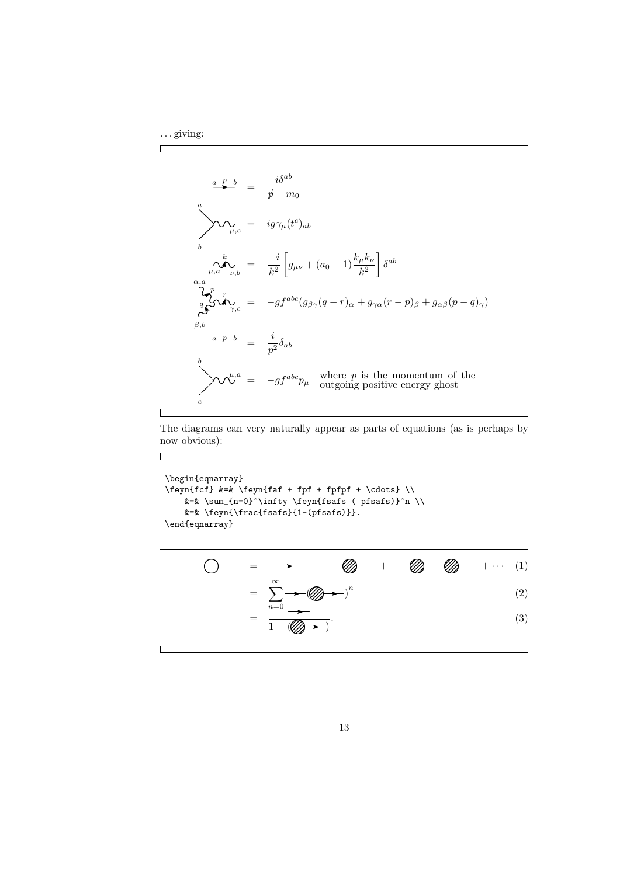$\Gamma$ 

 $\overline{\phantom{a}}$ 

 $\sqrt{2}$ 

$$
\frac{a \quad p \quad b}{\cancel{p}} = \frac{i\delta^{ab}}{\cancel{p} - m_0}
$$
\n
$$
\sum_{\substack{\mu, c \\ \mu, a}} \frac{i g \gamma_{\mu}(t^c)_{ab}}{\sqrt{\lambda}} = \frac{-i}{k^2} \left[ g_{\mu\nu} + (a_0 - 1) \frac{k_{\mu} k_{\nu}}{k^2} \right] \delta^{ab}
$$
\n
$$
\sum_{\substack{\alpha, a \\ \alpha, b \\ \beta, b}}^n r_{\alpha, c} = -gf^{abc} (g_{\beta\gamma}(q - r)_{\alpha} + g_{\gamma\alpha}(r - p)_{\beta} + g_{\alpha\beta}(p - q)_{\gamma})
$$
\n
$$
\sum_{\beta, b} \frac{a \cdot p \cdot b}{\beta} = \frac{i}{p^2} \delta_{ab}
$$
\n
$$
\sum_{\substack{\mu, a \\ \mu, a \\ \nu, \nu}}^n = -gf^{abc} p_{\mu} \quad \text{where } p \text{ is the momentum of the outgoing positive energy ghost}
$$

٦

 $\overline{\phantom{0}}$ 

 $\overline{\phantom{a}}$ 

The diagrams can very naturally appear as parts of equations (as is perhaps by now obvious):

\begin{eqnarray} \feyn{fcf} &=& \feyn{faf + fpf + fpfpf + \cdots} \\  $\&=\& \sum_{n=0}^{\infty} \frac{r!}{s} \$  (pfsafs)}^n \\ &=& \feyn{\frac{fsafs}{1-(pfsafs)}}. \end{eqnarray}

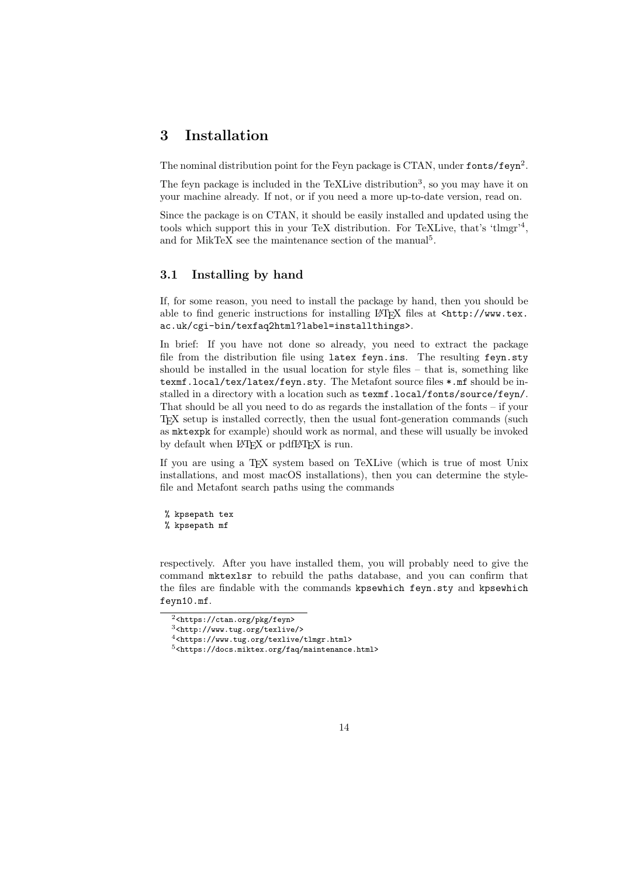### 3 Installation

The nominal distribution point for the Feyn package is CTAN, under fonts/feyn<sup>2</sup>.

The feyn package is included in the TeXLive distribution<sup>3</sup>, so you may have it on your machine already. If not, or if you need a more up-to-date version, read on.

Since the package is on CTAN, it should be easily installed and updated using the tools which support this in your TeX distribution. For TeXLive, that's 'tlmgr'<sup>4</sup>, and for MikTeX see the maintenance section of the manual<sup>5</sup>.

### 3.1 Installing by hand

If, for some reason, you need to install the package by hand, then you should be able to find generic instructions for installing LAT<sub>EX</sub> files at <http://www.tex. ac.uk/cgi-bin/texfaq2html?label=installthings>.

In brief: If you have not done so already, you need to extract the package file from the distribution file using latex feyn.ins. The resulting feyn.sty should be installed in the usual location for style files – that is, something like texmf.local/tex/latex/feyn.sty. The Metafont source files \*.mf should be installed in a directory with a location such as texmf.local/fonts/source/feyn/. That should be all you need to do as regards the installation of the fonts – if your TEX setup is installed correctly, then the usual font-generation commands (such as mktexpk for example) should work as normal, and these will usually be invoked by default when LAT<sub>EX</sub> or pdfLAT<sub>EX</sub> is run.

If you are using a TEX system based on TeXLive (which is true of most Unix installations, and most macOS installations), then you can determine the stylefile and Metafont search paths using the commands

% kpsepath tex % kpsepath mf

respectively. After you have installed them, you will probably need to give the command mktexlsr to rebuild the paths database, and you can confirm that the files are findable with the commands kpsewhich feyn.sty and kpsewhich feyn10.mf.

 $\sqrt[2]{2}$ <https://ctan.org/pkg/feyn>

<sup>3</sup><http://www.tug.org/texlive/>

<sup>4</sup><https://www.tug.org/texlive/tlmgr.html>

 $5$  <br/>  $$\tt >$   $\:$   $$\tt /dots$  .<br/>miktex.org/faq/maintenance.html>